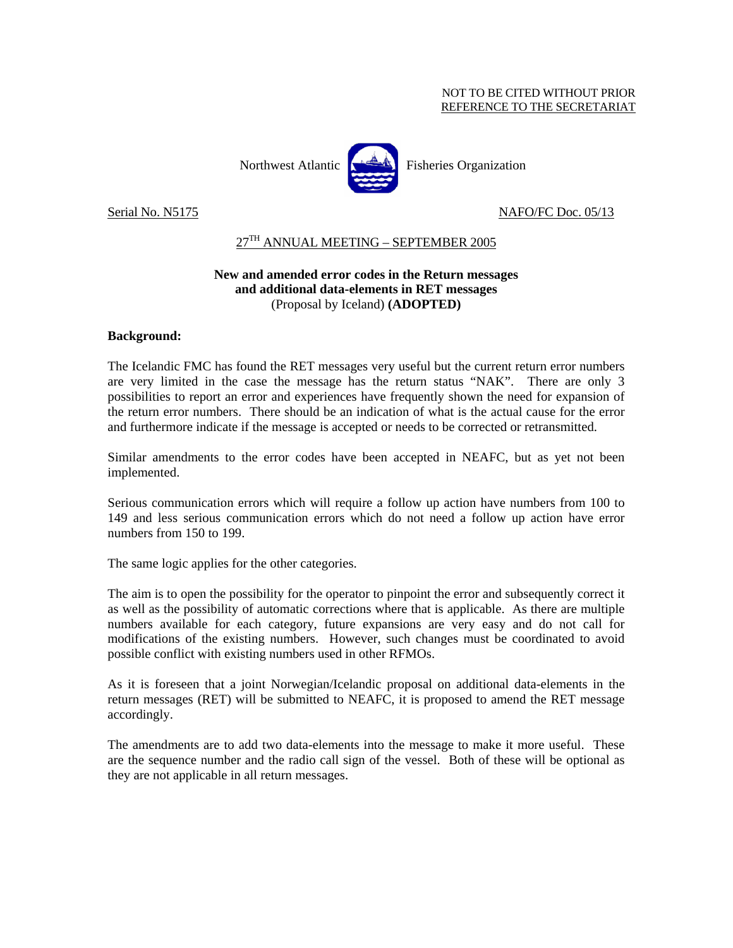#### NOT TO BE CITED WITHOUT PRIOR REFERENCE TO THE SECRETARIAT



Serial No. N5175 NAFO/FC Doc. 05/13

### 27TH ANNUAL MEETING – SEPTEMBER 2005

### **New and amended error codes in the Return messages and additional data-elements in RET messages**  (Proposal by Iceland) **(ADOPTED)**

#### **Background:**

The Icelandic FMC has found the RET messages very useful but the current return error numbers are very limited in the case the message has the return status "NAK". There are only 3 possibilities to report an error and experiences have frequently shown the need for expansion of the return error numbers. There should be an indication of what is the actual cause for the error and furthermore indicate if the message is accepted or needs to be corrected or retransmitted.

Similar amendments to the error codes have been accepted in NEAFC, but as yet not been implemented.

Serious communication errors which will require a follow up action have numbers from 100 to 149 and less serious communication errors which do not need a follow up action have error numbers from 150 to 199.

The same logic applies for the other categories.

The aim is to open the possibility for the operator to pinpoint the error and subsequently correct it as well as the possibility of automatic corrections where that is applicable. As there are multiple numbers available for each category, future expansions are very easy and do not call for modifications of the existing numbers. However, such changes must be coordinated to avoid possible conflict with existing numbers used in other RFMOs.

As it is foreseen that a joint Norwegian/Icelandic proposal on additional data-elements in the return messages (RET) will be submitted to NEAFC, it is proposed to amend the RET message accordingly.

The amendments are to add two data-elements into the message to make it more useful. These are the sequence number and the radio call sign of the vessel. Both of these will be optional as they are not applicable in all return messages.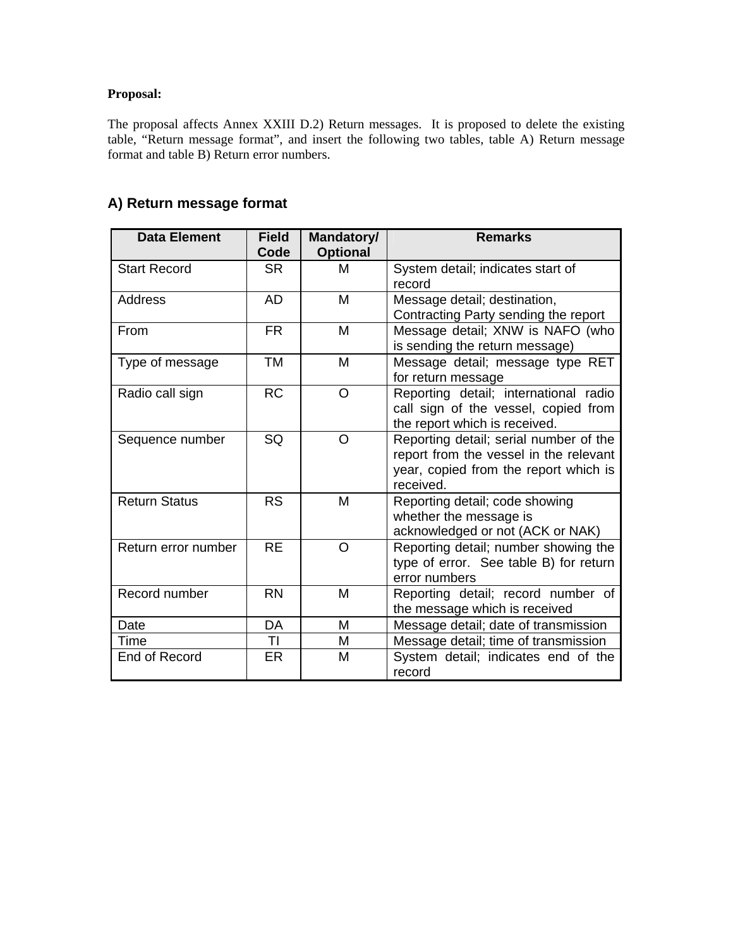## **Proposal:**

The proposal affects Annex XXIII D.2) Return messages. It is proposed to delete the existing table, "Return message format", and insert the following two tables, table A) Return message format and table B) Return error numbers.

| <b>Data Element</b>  | <b>Field</b><br>Code | Mandatory/<br><b>Optional</b> | <b>Remarks</b>                                                                                                                         |
|----------------------|----------------------|-------------------------------|----------------------------------------------------------------------------------------------------------------------------------------|
| <b>Start Record</b>  | <b>SR</b>            | м                             | System detail; indicates start of<br>record                                                                                            |
| Address              | AD                   | M                             | Message detail; destination,<br>Contracting Party sending the report                                                                   |
| From                 | <b>FR</b>            | M                             | Message detail; XNW is NAFO (who<br>is sending the return message)                                                                     |
| Type of message      | <b>TM</b>            | M                             | Message detail; message type RET<br>for return message                                                                                 |
| Radio call sign      | <b>RC</b>            | $\circ$                       | Reporting detail; international radio<br>call sign of the vessel, copied from<br>the report which is received.                         |
| Sequence number      | SQ                   | O                             | Reporting detail; serial number of the<br>report from the vessel in the relevant<br>year, copied from the report which is<br>received. |
| <b>Return Status</b> | <b>RS</b>            | M                             | Reporting detail; code showing<br>whether the message is<br>acknowledged or not (ACK or NAK)                                           |
| Return error number  | <b>RE</b>            | O                             | Reporting detail; number showing the<br>type of error. See table B) for return<br>error numbers                                        |
| Record number        | <b>RN</b>            | M                             | Reporting detail; record number of<br>the message which is received                                                                    |
| Date                 | DA                   | M                             | Message detail; date of transmission                                                                                                   |
| Time                 | ΤI                   | M                             | Message detail; time of transmission                                                                                                   |
| End of Record        | ER                   | M                             | System detail; indicates end of the<br>record                                                                                          |

## **A) Return message format**